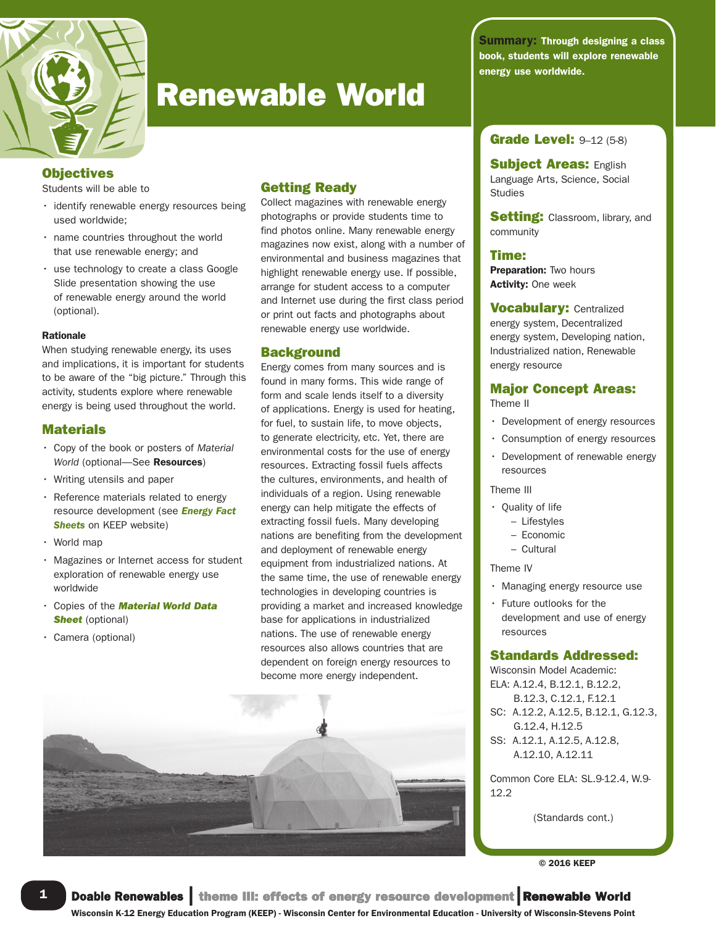

# Renewable World

# **Objectives**

Students will be able to

- identify renewable energy resources being used worldwide;
- name countries throughout the world that use renewable energy; and
- use technology to create a class Google Slide presentation showing the use of renewable energy around the world (optional).

#### Rationale

When studying renewable energy, its uses and implications, it is important for students to be aware of the "big picture." Through this activity, students explore where renewable energy is being used throughout the world.

# **Materials**

- Copy of the book or posters of *Material* World (optional-See Resources)
- Writing utensils and paper
- Reference materials related to energy resource development (see *Energy Fact* **Sheets** on **KEEP** website)
- World map
- Magazines or Internet access for student exploration of renewable energy use worldwide
- Copies of the *Material World Data* **Sheet** (optional)
- Camera (optional)

# Getting Ready

Collect magazines with renewable energy photographs or provide students time to find photos online. Many renewable energy magazines now exist, along with a number of environmental and business magazines that highlight renewable energy use. If possible, arrange for student access to a computer and Internet use during the first class period or print out facts and photographs about renewable energy use worldwide.

# **Background**

Energy comes from many sources and is found in many forms. This wide range of form and scale lends itself to a diversity of applications. Energy is used for heating, for fuel, to sustain life, to move objects, to generate electricity, etc. Yet, there are environmental costs for the use of energy resources. Extracting fossil fuels affects the cultures, environments, and health of individuals of a region. Using renewable energy can help mitigate the effects of extracting fossil fuels. Many developing nations are benefiting from the development and deployment of renewable energy equipment from industrialized nations. At the same time, the use of renewable energy technologies in developing countries is providing a market and increased knowledge base for applications in industrialized nations. The use of renewable energy resources also allows countries that are dependent on foreign energy resources to become more energy independent.



Summary: Through designing a class book, students will explore renewable energy use worldwide.

# **Grade Level: 9-12 (5-8)**

**Subject Areas: English** Language Arts, Science, Social Studies

**Setting:** Classroom, library, and community

# Time:

Preparation: Two hours Activity: One week

**Vocabulary: Centralized** energy system, Decentralized energy system, Developing nation, Industrialized nation, Renewable energy resource

# Major Concept Areas:

Theme II

- Development of energy resources
- Consumption of energy resources
- Development of renewable energy resources

#### Theme III

- Quality of life
	- Lifestyles
	- Economic
	- Cultural

### Theme IV

- Managing energy resource use
- Future outlooks for the development and use of energy resources

# Standards Addressed:

Wisconsin Model Academic: ELA: A.12.4, B.12.1, B.12.2, B.12.3, C.12.1, F.12.1 SC: A.12.2, A.12.5, B.12.1, G.12.3, G.12.4, H.12.5 SS: A.12.1, A.12.5, A.12.8, A.12.10, A.12.11

Common Core ELA: SL.9-12.4, W.9- 12.2

(Standards cont.)

© 2016 KEEP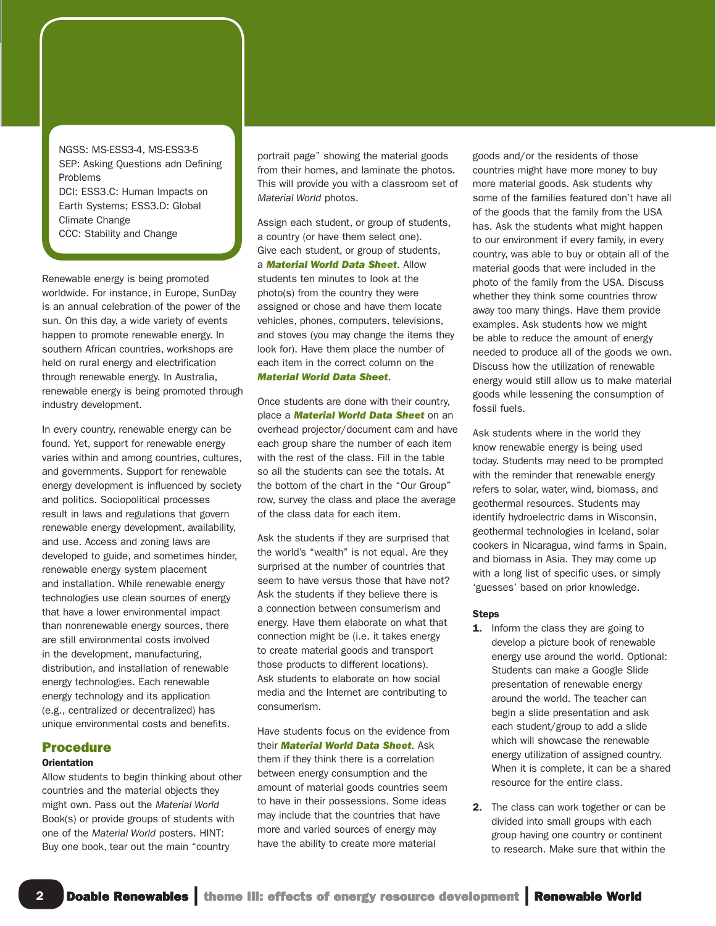NGSS: MS-ESS3-4, MS-ESS3-5 SEP: Asking Questions adn Defining Problems DCI: ESS3.C: Human Impacts on Earth Systems; ESS3.D: Global Climate Change CCC: Stability and Change

Renewable energy is being promoted worldwide. For instance, in Europe, SunDay is an annual celebration of the power of the sun. On this day, a wide variety of events happen to promote renewable energy. In southern African countries, workshops are held on rural energy and electrification through renewable energy. In Australia, renewable energy is being promoted through industry development.

In every country, renewable energy can be found. Yet, support for renewable energy varies within and among countries, cultures, and governments. Support for renewable energy development is influenced by society and politics. Sociopolitical processes result in laws and regulations that govern renewable energy development, availability, and use. Access and zoning laws are developed to guide, and sometimes hinder, renewable energy system placement and installation. While renewable energy technologies use clean sources of energy that have a lower environmental impact than nonrenewable energy sources, there are still environmental costs involved in the development, manufacturing, distribution, and installation of renewable energy technologies. Each renewable energy technology and its application (e.g., centralized or decentralized) has unique environmental costs and benefits.

# Procedure

## **Orientation**

Allow students to begin thinking about other countries and the material objects they might own. Pass out the *Material World* Book(s) or provide groups of students with one of the *Material World* posters. HINT: Buy one book, tear out the main "country

portrait page" showing the material goods from their homes, and laminate the photos. This will provide you with a classroom set of *Material World* photos.

Assign each student, or group of students, a country (or have them select one). Give each student, or group of students, a *Material World Data Sheet*. Allow students ten minutes to look at the photo(s) from the country they were assigned or chose and have them locate vehicles, phones, computers, televisions, and stoves (you may change the items they look for). Have them place the number of each item in the correct column on the *Material World Data Sheet*.

Once students are done with their country, place a *Material World Data Sheet* on an overhead projector/document cam and have each group share the number of each item with the rest of the class. Fill in the table so all the students can see the totals. At the bottom of the chart in the "Our Group" row, survey the class and place the average of the class data for each item.

Ask the students if they are surprised that the world's "wealth" is not equal. Are they surprised at the number of countries that seem to have versus those that have not? Ask the students if they believe there is a connection between consumerism and energy. Have them elaborate on what that connection might be (i.e. it takes energy to create material goods and transport those products to different locations). Ask students to elaborate on how social media and the Internet are contributing to consumerism.

Have students focus on the evidence from their *Material World Data Sheet*. Ask them if they think there is a correlation between energy consumption and the amount of material goods countries seem to have in their possessions. Some ideas may include that the countries that have more and varied sources of energy may have the ability to create more material

goods and/or the residents of those countries might have more money to buy more material goods. Ask students why some of the families featured don't have all of the goods that the family from the USA has. Ask the students what might happen to our environment if every family, in every country, was able to buy or obtain all of the material goods that were included in the photo of the family from the USA. Discuss whether they think some countries throw away too many things. Have them provide examples. Ask students how we might be able to reduce the amount of energy needed to produce all of the goods we own. Discuss how the utilization of renewable energy would still allow us to make material goods while lessening the consumption of fossil fuels.

Ask students where in the world they know renewable energy is being used today. Students may need to be prompted with the reminder that renewable energy refers to solar, water, wind, biomass, and geothermal resources. Students may identify hydroelectric dams in Wisconsin, geothermal technologies in Iceland, solar cookers in Nicaragua, wind farms in Spain, and biomass in Asia. They may come up with a long list of specific uses, or simply 'guesses' based on prior knowledge.

#### **Steps**

- 1. Inform the class they are going to develop a picture book of renewable energy use around the world. Optional: Students can make a Google Slide presentation of renewable energy around the world. The teacher can begin a slide presentation and ask each student/group to add a slide which will showcase the renewable energy utilization of assigned country. When it is complete, it can be a shared resource for the entire class.
- 2. The class can work together or can be divided into small groups with each group having one country or continent to research. Make sure that within the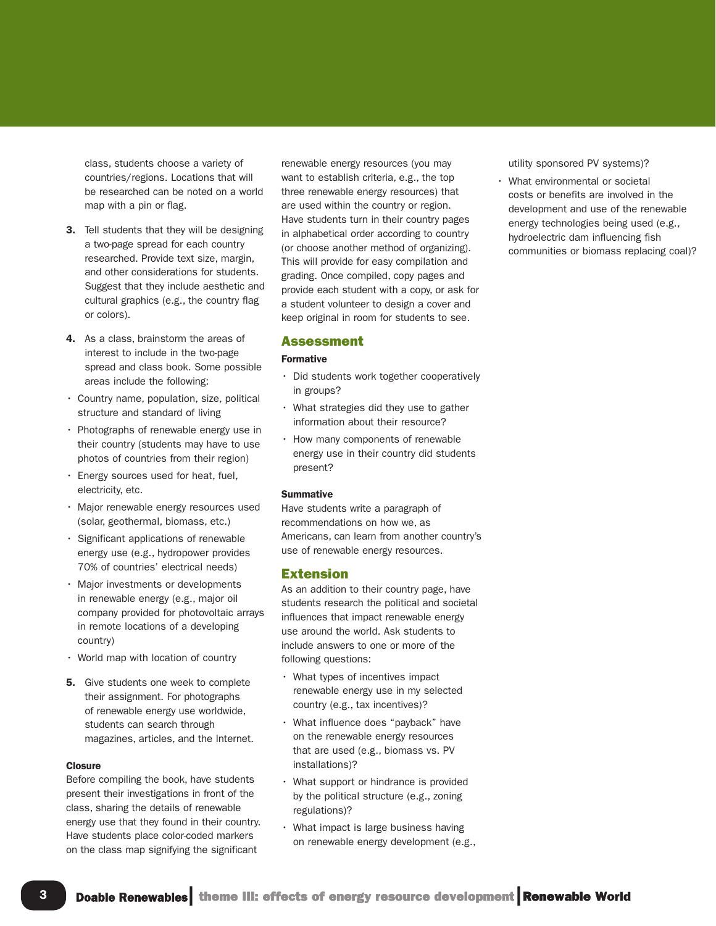class, students choose a variety of countries/regions. Locations that will be researched can be noted on a world map with a pin or flag.

- 3. Tell students that they will be designing a two-page spread for each country researched. Provide text size, margin, and other considerations for students. Suggest that they include aesthetic and cultural graphics (e.g., the country flag or colors).
- 4. As a class, brainstorm the areas of interest to include in the two-page spread and class book. Some possible areas include the following:
- Country name, population, size, political structure and standard of living
- Photographs of renewable energy use in their country (students may have to use photos of countries from their region)
- Energy sources used for heat, fuel, electricity, etc.
- Major renewable energy resources used (solar, geothermal, biomass, etc.)
- Significant applications of renewable energy use (e.g., hydropower provides 70% of countries' electrical needs)
- Major investments or developments in renewable energy (e.g., major oil company provided for photovoltaic arrays in remote locations of a developing country)
- World map with location of country
- **5.** Give students one week to complete their assignment. For photographs of renewable energy use worldwide, students can search through magazines, articles, and the Internet.

#### **Closure**

Before compiling the book, have students present their investigations in front of the class, sharing the details of renewable energy use that they found in their country. Have students place color-coded markers on the class map signifying the significant

renewable energy resources (you may want to establish criteria, e.g., the top three renewable energy resources) that are used within the country or region. Have students turn in their country pages in alphabetical order according to country (or choose another method of organizing). This will provide for easy compilation and grading. Once compiled, copy pages and provide each student with a copy, or ask for a student volunteer to design a cover and keep original in room for students to see.

#### Assessment

#### Formative

- Did students work together cooperatively in groups?
- What strategies did they use to gather information about their resource?
- How many components of renewable energy use in their country did students present?

#### **Summative**

Have students write a paragraph of recommendations on how we, as Americans, can learn from another country's use of renewable energy resources.

#### Extension

As an addition to their country page, have students research the political and societal influences that impact renewable energy use around the world. Ask students to include answers to one or more of the following questions:

- What types of incentives impact renewable energy use in my selected country (e.g., tax incentives)?
- What influence does "payback" have on the renewable energy resources that are used (e.g., biomass vs. PV installations)?
- What support or hindrance is provided by the political structure (e.g., zoning regulations)?
- What impact is large business having on renewable energy development (e.g.,

utility sponsored PV systems)?

• What environmental or societal costs or benefits are involved in the development and use of the renewable energy technologies being used (e.g., hydroelectric dam influencing fish communities or biomass replacing coal)?